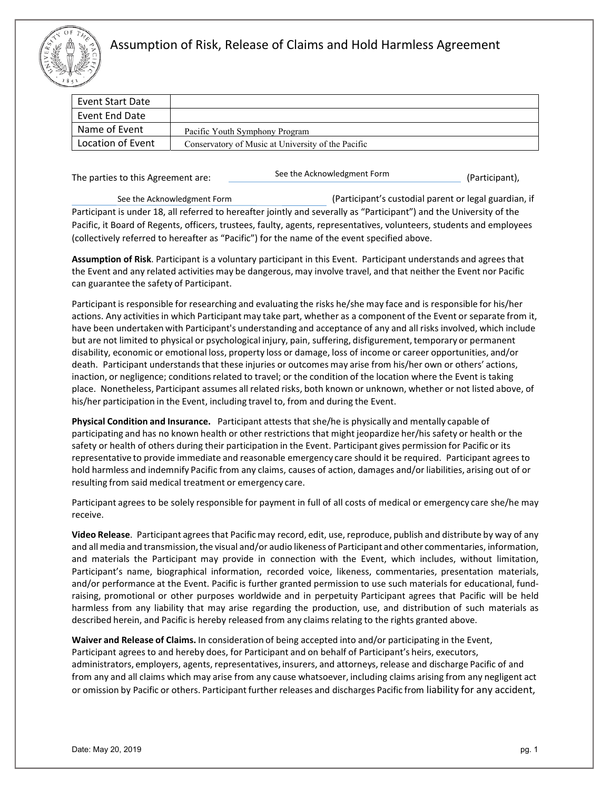

## Assumption of Risk, Release of Claims and Hold Harmless Agreement

| <b>Event Start Date</b> |
|-------------------------|
| Event End Date          |
| Name of Event           |
| Location of Event       |
|                         |

The parties to this Agreement are:  $\qquad \qquad \qquad$ 

See the Acknowledgment Form

(Participant's custodial parent or legal guardian, if Participant is under 18, all referred to hereafter jointly and severally as "Participant") and the University of the Pacific, it Board of Regents, officers, trustees, faulty, agents, representatives, volunteers, students and employees (collectively referred to hereafter as "Pacific") for the name of the event specified above. See the Acknowledgment Form

**Assumption of Risk**. Participant is a voluntary participant in this Event. Participant understands and agrees that the Event and any related activities may be dangerous, may involve travel, and that neither the Event nor Pacific can guarantee the safety of Participant.

Participant is responsible for researching and evaluating the risks he/she may face and is responsible for his/her actions. Any activities in which Participant may take part, whether as a component of the Event or separate from it, have been undertaken with Participant's understanding and acceptance of any and all risks involved, which include but are not limited to physical or psychological injury, pain, suffering, disfigurement, temporary or permanent disability, economic or emotional loss, property loss or damage, loss of income or career opportunities, and/or death. Participant understands that these injuries or outcomes may arise from his/her own or others' actions, inaction, or negligence; conditions related to travel; or the condition of the location where the Event is taking place. Nonetheless, Participant assumes all related risks, both known or unknown, whether or not listed above, of his/her participation in the Event, including travel to, from and during the Event.

**Physical Condition and Insurance.**  Participant attests that she/he is physically and mentally capable of participating and has no known health or other restrictions that might jeopardize her/his safety or health or the safety or health of others during their participation in the Event. Participant gives permission for Pacific or its representative to provide immediate and reasonable emergency care should it be required. Participant agrees to hold harmless and indemnify Pacific from any claims, causes of action, damages and/or liabilities, arising out of or resulting from said medical treatment or emergency care.

Participant agrees to be solely responsible for payment in full of all costs of medical or emergency care she/he may receive.

**Video Release**. Participant agrees that Pacific may record, edit, use, reproduce, publish and distribute by way of any and all media and transmission, the visual and/or audio likeness of Participant and other commentaries, information, and materials the Participant may provide in connection with the Event, which includes, without limitation, Participant's name, biographical information, recorded voice, likeness, commentaries, presentation materials, and/or performance at the Event. Pacific is further granted permission to use such materials for educational, fundraising, promotional or other purposes worldwide and in perpetuity Participant agrees that Pacific will be held harmless from any liability that may arise regarding the production, use, and distribution of such materials as described herein, and Pacific is hereby released from any claims relating to the rights granted above.

**Waiver and Release of Claims.** In consideration of being accepted into and/or participating in the Event, Participant agrees to and hereby does, for Participant and on behalf of Participant's heirs, executors, administrators, employers, agents, representatives, insurers, and attorneys, release and discharge Pacific of and from any and all claims which may arise from any cause whatsoever, including claims arising from any negligent act or omission by Pacific or others. Participant further releases and discharges Pacific from liability for any accident,